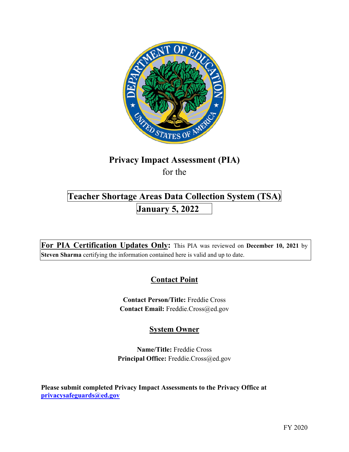

# **Privacy Impact Assessment (PIA)**  for the

# **Teacher Shortage Areas Data Collection System (TSA) January 5, 2022**

 **For PIA Certification Updates Only:** This PIA was reviewed on **December 10, 2021** by **Steven Sharma** certifying the information contained here is valid and up to date.

# **Contact Point**

**Contact Person/Title:** Freddie Cross **Contact Email:** [Freddie.Cross@ed.gov](mailto:Freddie.Cross@ed.gov) 

## **System Owner**

**Name/Title:** Freddie Cross Principal Office: [Freddie.Cross@ed.gov](mailto:Freddie.Cross@ed.gov)

 **Please submit completed Privacy Impact Assessments to the Privacy Office at [privacysafeguards@ed.gov](mailto:privacysafeguards@ed.gov)**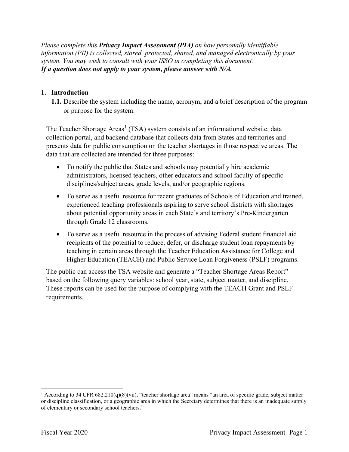*Please complete this Privacy Impact Assessment (PIA) on how personally identifiable information (PII) is collected, stored, protected, shared, and managed electronically by your system. You may wish to consult with your ISSO in completing this document. If a question does not apply to your system, please answer with N/A.* 

#### **1. Introduction**

**1.1.** Describe the system including the name, acronym, and a brief description of the program or purpose for the system.

The Teacher Shortage Areas<sup>1</sup> (TSA) system consists of an informational website, data collection portal, and backend database that collects data from States and territories and presents data for public consumption on the teacher shortages in those respective areas. The data that are collected are intended for three purposes:

- • To notify the public that States and schools may potentially hire academic administrators, licensed teachers, other educators and school faculty of specific disciplines/subject areas, grade levels, and/or geographic regions.
- • To serve as a useful resource for recent graduates of Schools of Education and trained, experienced teaching professionals aspiring to serve school districts with shortages about potential opportunity areas in each State's and territory's Pre-Kindergarten through Grade 12 classrooms.
- • To serve as a useful resource in the process of advising Federal student financial aid recipients of the potential to reduce, defer, or discharge student loan repayments by teaching in certain areas through the Teacher Education Assistance for College and Higher Education (TEACH) and Public Service Loan Forgiveness (PSLF) programs.

 based on the following query variables: school year, state, subject matter, and discipline. The public can access the TSA website and generate a "Teacher Shortage Areas Report" These reports can be used for the purpose of complying with the TEACH Grant and PSLF requirements.

<sup>&</sup>lt;sup>1</sup> According to 34 CFR 682.210(q)(8)(vii), "teacher shortage area" means "an area of specific grade, subject matter or discipline classification, or a geographic area in which the Secretary determines that there is an inadequate supply of elementary or secondary school teachers."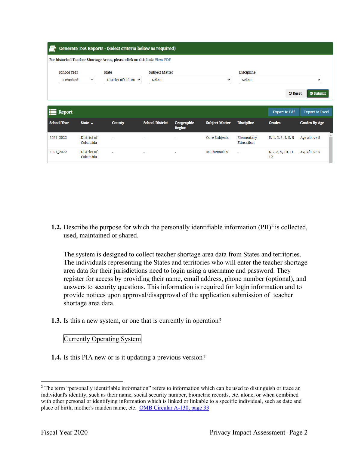| Ħ                  |                                       | Generate TSA Reports - (Select criteria below as required)                 |                        |                             |                       |                         |                      |                        |
|--------------------|---------------------------------------|----------------------------------------------------------------------------|------------------------|-----------------------------|-----------------------|-------------------------|----------------------|------------------------|
|                    |                                       | For historical Teacher Shortage Areas, please click on this link: View PDF |                        |                             |                       |                         |                      |                        |
| <b>School Year</b> |                                       | <b>State</b>                                                               |                        | <b>Subject Matter</b>       |                       | <b>Discipline</b>       |                      |                        |
|                    | 1 checked<br>$\overline{\phantom{a}}$ | District of Colum $\sim$                                                   | Select                 |                             | $\check{ }$           | Select                  |                      | $\check{ }$            |
|                    |                                       |                                                                            |                        |                             |                       |                         | <b>D</b> Reset       | Submit                 |
|                    |                                       |                                                                            |                        |                             |                       |                         |                      |                        |
| <b>Report</b>      |                                       |                                                                            |                        |                             |                       |                         | <b>Export to Pdf</b> | <b>Export to Excel</b> |
| <b>School Year</b> | State $\sim$                          | <b>County</b>                                                              | <b>School District</b> | Geographic<br><b>Region</b> | <b>Subject Matter</b> | <b>Discipline</b>       | <b>Grades</b>        | <b>Grades By Age</b>   |
| 2021_2022          | District of<br>Columbia               | ٠                                                                          | ٠                      |                             | Core Subjects         | Elementary<br>Education | K, 1, 2, 3, 4, 5, 6  | Age above 5            |

**1.2.** Describe the purpose for which the personally identifiable information (PII)<sup>2</sup> is collected, used, maintained or shared.

 provide notices upon approval/disapproval of the application submission of teacher The system is designed to collect teacher shortage area data from States and territories. The individuals representing the States and territories who will enter the teacher shortage area data for their jurisdictions need to login using a username and password. They register for access by providing their name, email address, phone number (optional), and answers to security questions. This information is required for login information and to shortage area data.

**1.3.** Is this a new system, or one that is currently in operation?

Currently Operating System

**1.4.** Is this PIA new or is it updating a previous version?

 $2$  The term "personally identifiable information" refers to information which can be used to distinguish or trace an individual's identity, such as their name, social security number, biometric records, etc. alone, or when combined with other personal or identifying information which is linked or linkable to a specific individual, such as date and place of birth, mother's maiden name, etc. OMB Circular A-130, page 33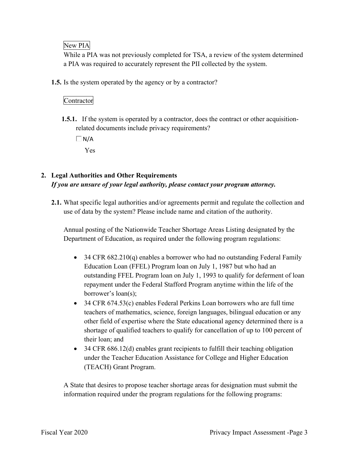#### New PIA

 a PIA was required to accurately represent the PII collected by the system. While a PIA was not previously completed for TSA, a review of the system determined

**1.5.** Is the system operated by the agency or by a contractor?

### Contractor

 **1.5.1.** If the system is operated by a contractor, does the contract or other acquisitionrelated documents include privacy requirements?

 $\Box$  N/A

### Yes

### **2. Legal Authorities and Other Requirements**  *If you are unsure of your legal authority, please contact your program attorney.*

**2.1.** What specific legal authorities and/or agreements permit and regulate the collection and use of data by the system? Please include name and citation of the authority.

 Department of Education, as required under the following program regulations: Annual posting of the Nationwide Teacher Shortage Areas Listing designated by the

- 34 CFR 682.210(q) enables a borrower who had no outstanding Federal Family Education Loan (FFEL) Program loan on July 1, 1987 but who had an outstanding FFEL Program loan on July 1, 1993 to qualify for deferment of loan repayment under the Federal Stafford Program anytime within the life of the borrower's loan(s);
- 34 CFR 674.53(c) enables Federal Perkins Loan borrowers who are full time teachers of mathematics, science, foreign languages, bilingual education or any other field of expertise where the State educational agency determined there is a shortage of qualified teachers to qualify for cancellation of up to 100 percent of their loan; and
- 34 CFR 686.12(d) enables grant recipients to fulfill their teaching obligation under the Teacher Education Assistance for College and Higher Education (TEACH) Grant Program.

A State that desires to propose teacher shortage areas for designation must submit the information required under the program regulations for the following programs: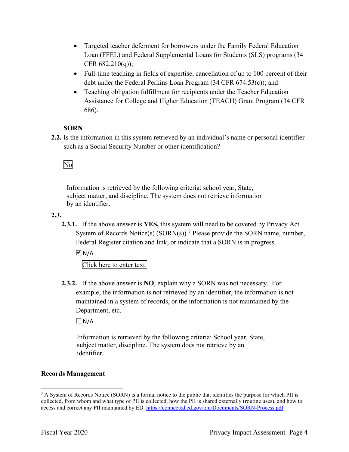- Targeted teacher deferment for borrowers under the Family Federal Education Loan (FFEL) and Federal Supplemental Loans for Students (SLS) programs (34 CFR 682.210(q));
- Full-time teaching in fields of expertise, cancellation of up to 100 percent of their debt under the Federal Perkins Loan Program (34 CFR 674.53(c)); and
- 686). • Teaching obligation fulfillment for recipients under the Teacher Education Assistance for College and Higher Education (TEACH) Grant Program (34 CFR

#### **SORN**

 such as a Social Security Number or other identification? **2.2.** Is the information in this system retrieved by an individual's name or personal identifier

No

 Information is retrieved by the following criteria: school year, State, subject matter, and discipline. The system does not retrieve information by an identifier.

**2.3.** 

**2.3.1.** If the above answer is **YES,** this system will need to be covered by Privacy Act System of Records Notice(s)  $(SORN(s))$ .<sup>3</sup> Please provide the SORN name, number, Federal Register citation and link, or indicate that a SORN is in progress.

 $\overline{M}$  N/A

Click here to enter text.

 **2.3.2.** If the above answer is **NO**, explain why a SORN was not necessary. For Department, etc. example, the information is not retrieved by an identifier, the information is not maintained in a system of records, or the information is not maintained by the

 $\Box$  N/A

 Information is retrieved by the following criteria: School year, State, subject matter, discipline. The system does not retrieve by an identifier.

#### **Records Management**

 $3$  A System of Records Notice (SORN) is a formal notice to the public that identifies the purpose for which PII is collected, from whom and what type of PII is collected, how the PII is shared externally (routine uses), and how to access and correct any PII maintained by ED. <https://connected.ed.gov/om/Documents/SORN-Process.pdf>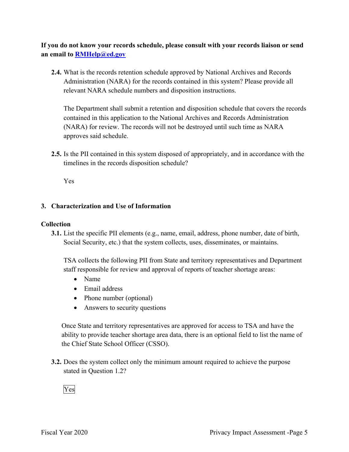**an email to [RMHelp@ed.gov](mailto:RMHelp@ed.gov) If you do not know your records schedule, please consult with your records liaison or send** 

 Administration (NARA) for the records contained in this system? Please provide all **2.4.** What is the records retention schedule approved by National Archives and Records relevant NARA schedule numbers and disposition instructions.

 The Department shall submit a retention and disposition schedule that covers the records (NARA) for review. The records will not be destroyed until such time as NARA contained in this application to the National Archives and Records Administration approves said schedule.

 timelines in the records disposition schedule? **2.5.** Is the PII contained in this system disposed of appropriately, and in accordance with the

Yes

#### **3. Characterization and Use of Information**

#### **Collection**

**3.1.** List the specific PII elements (e.g., name, email, address, phone number, date of birth, Social Security, etc.) that the system collects, uses, disseminates, or maintains.

 TSA collects the following PII from State and territory representatives and Department staff responsible for review and approval of reports of teacher shortage areas:

- Name
- Email address
- Phone number (optional)
- Answers to security questions

 Once State and territory representatives are approved for access to TSA and have the ability to provide teacher shortage area data, there is an optional field to list the name of the Chief State School Officer (CSSO).

 **3.2.** Does the system collect only the minimum amount required to achieve the purpose stated in Question 1.2?<br>Yes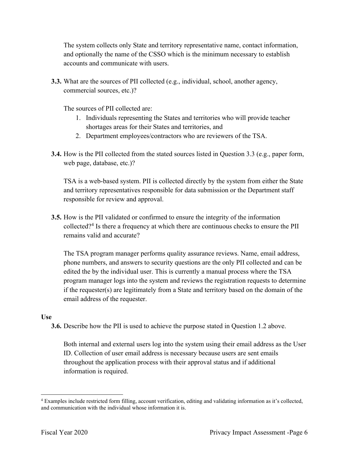The system collects only State and territory representative name, contact information, and optionally the name of the CSSO which is the minimum necessary to establish accounts and communicate with users.

**3.3.** What are the sources of PII collected (e.g., individual, school, another agency, commercial sources, etc.)?

The sources of PII collected are:

- 1. Individuals representing the States and territories who will provide teacher shortages areas for their States and territories, and
- 2. Department employees/contractors who are reviewers of the TSA.
- **3.4.** How is the PII collected from the stated sources listed in Question 3.3 (e.g., paper form, web page, database, etc.)?

 and territory representatives responsible for data submission or the Department staff TSA is a web-based system. PII is collected directly by the system from either the State responsible for review and approval.

**3.5.** How is the PII validated or confirmed to ensure the integrity of the information collected?<sup>4</sup> Is there a frequency at which there are continuous checks to ensure the PII remains valid and accurate?

 The TSA program manager performs quality assurance reviews. Name, email address, edited the by the individual user. This is currently a manual process where the TSA if the requester(s) are legitimately from a State and territory based on the domain of the phone numbers, and answers to security questions are the only PII collected and can be program manager logs into the system and reviews the registration requests to determine email address of the requester.

#### **Use**

**3.6.** Describe how the PII is used to achieve the purpose stated in Question 1.2 above.

 information is required. Both internal and external users log into the system using their email address as the User ID. Collection of user email address is necessary because users are sent emails throughout the application process with their approval status and if additional

<sup>&</sup>lt;sup>4</sup> Examples include restricted form filling, account verification, editing and validating information as it's collected, and communication with the individual whose information it is.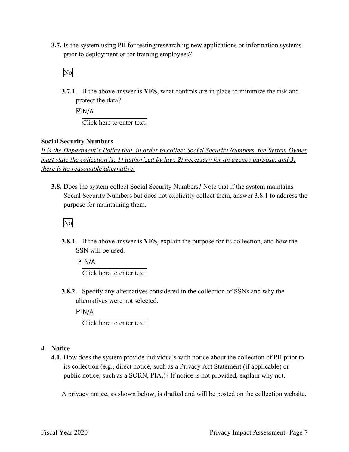**3.7.** Is the system using PII for testing/researching new applications or information systems prior to deployment or for training employees?<br>No

 **3.7.1.** If the above answer is **YES,** what controls are in place to minimize the risk and protect the data?

 $\overline{M}$  N/A

Click here to enter text.

#### **Social Security Numbers**

*It is the Department's Policy that, in order to collect Social Security Numbers, the System Owner must state the collection is: 1) authorized by law, 2) necessary for an agency purpose, and 3) there is no reasonable alternative.* 

 **3.8.** Does the system collect Social Security Numbers? Note that if the system maintains Social Security Numbers but does not explicitly collect them, answer 3.8.1 to address the purpose for maintaining them.

No

**3.8.1.** If the above answer is **YES**, explain the purpose for its collection, and how the SSN will be used.

 $M/A$ Click here to enter text.

 **3.8.2.** Specify any alternatives considered in the collection of SSNs and why the alternatives were not selected.

 $\overline{M}$  N/A

Click here to enter text.

#### **4. Notice**

 its collection (e.g., direct notice, such as a Privacy Act Statement (if applicable) or **4.1.** How does the system provide individuals with notice about the collection of PII prior to public notice, such as a SORN, PIA,)? If notice is not provided, explain why not.

A privacy notice, as shown below, is drafted and will be posted on the collection website.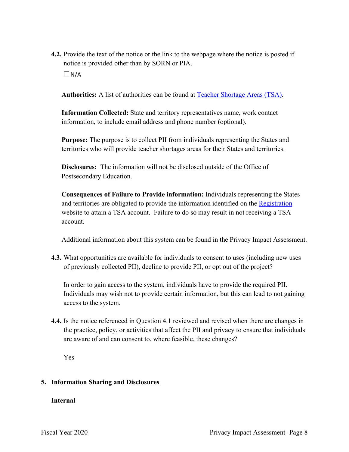**4.2.** Provide the text of the notice or the link to the webpage where the notice is posted if notice is provided other than by SORN or PIA.  $\Box$ N/A

**Authorities:** A list of authorities can be found at Teacher Shortage Areas (TSA).

 information, to include email address and phone number (optional). **Information Collected:** State and territory representatives name, work contact

**Purpose:** The purpose is to collect PII from individuals representing the States and territories who will provide teacher shortages areas for their States and territories.

 **Disclosures:** The information will not be disclosed outside of the Office of Postsecondary Education.

and territories are obligated to provide the information identified on the Registration website to attain a TSA account. Failure to do so may result in not receiving a TSA **Consequences of Failure to Provide information:** Individuals representing the States account.

Additional information about this system can be found in the Privacy Impact Assessment.

 **4.3.** What opportunities are available for individuals to consent to uses (including new uses of previously collected PII), decline to provide PII, or opt out of the project?

In order to gain access to the system, individuals have to provide the required PII. Individuals may wish not to provide certain information, but this can lead to not gaining access to the system.

**4.4.** Is the notice referenced in Question 4.1 reviewed and revised when there are changes in the practice, policy, or activities that affect the PII and privacy to ensure that individuals are aware of and can consent to, where feasible, these changes?

Yes

#### **5. Information Sharing and Disclosures**

#### **Internal**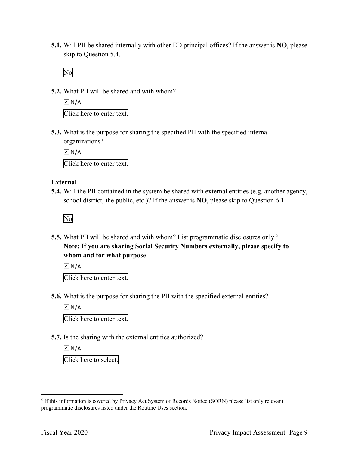**5.1.** Will PII be shared internally with other ED principal offices? If the answer is **NO**, please skip to Question 5.4.

No

**5.2.** What PII will be shared and with whom?

 Click here to enter text.  $\overline{M}$  N/A

 **5.3.** What is the purpose for sharing the specified PII with the specified internal organizations?

 Click here to enter text.  $\overline{M}$  N/A

#### **External**

**5.4.** Will the PII contained in the system be shared with external entities (e.g. another agency, school district, the public, etc.)? If the answer is **NO**, please skip to Question 6.1.

No

 **5.5.** What PII will be shared and with whom? List programmatic disclosures only. 5  **Note: If you are sharing Social Security Numbers externally, please specify to whom and for what purpose**.

 $\sqrt{M}$  N/A

Click here to enter text.

**5.6.** What is the purpose for sharing the PII with the specified external entities?

 $\overline{M}$  N/A

Click here to enter text.

**5.7.** Is the sharing with the external entities authorized?

l Click here to select.  $\overline{M}$  N/A

<sup>&</sup>lt;sup>5</sup> If this information is covered by Privacy Act System of Records Notice (SORN) please list only relevant programmatic disclosures listed under the Routine Uses section.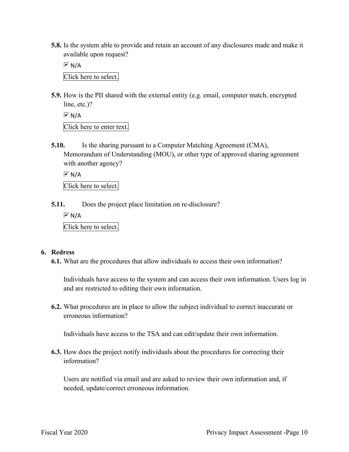**5.8.** Is the system able to provide and retain an account of any disclosures made and make it available upon request?

 Click here to select.  $\overline{M}$  N/A

**5.9.** How is the PII shared with the external entity (e.g. email, computer match, encrypted line, etc.)?

```
 
Click here to enter text. 
\boxed{\mathbf{v}} N/A
```
**5.10.** Is the sharing pursuant to a Computer Matching Agreement (CMA), Memorandum of Understanding (MOU), or other type of approved sharing agreement with another agency?

 $\boxed{\triangleright}$  N/A

Click here to select.

**5.11.** Does the project place limitation on re-disclosure?

 Click here to select.  $\boxed{\triangleright}$  N/A

#### **6. Redress**

**6.1.** What are the procedures that allow individuals to access their own information?

Individuals have access to the system and can access their own information. Users log in and are restricted to editing their own information.

 **6.2.** What procedures are in place to allow the subject individual to correct inaccurate or erroneous information?

Individuals have access to the TSA and can edit/update their own information.

**6.3.** How does the project notify individuals about the procedures for correcting their information?

 Users are notified via email and are asked to review their own information and, if needed, update/correct erroneous information.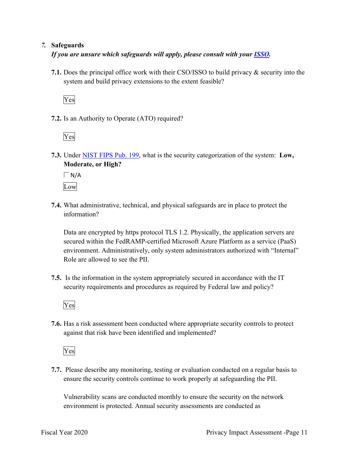#### *7.* **Safeguards**

*If you are unsure which safeguards will apply, please consult with your ISSO.* 

 **7.1.** Does the principal office work with their CSO/ISSO to build privacy & security into the system and build privacy extensions to the extent feasible?

Yes

**7.2.** Is an Authority to Operate (ATO) required?

Yes

 **7.3.** Under NIST FIPS Pub. 199, what is the security categorization of the system: **Low, Moderate, or High?** 

 $\Box$  N/A Low

 **7.4.** What administrative, technical, and physical safeguards are in place to protect the information?

 secured within the FedRAMP-certified Microsoft Azure Platform as a service (PaaS) Data are encrypted by https protocol TLS 1.2. Physically, the application servers are environment. Administratively, only system administrators authorized with "Internal" Role are allowed to see the PII.

 **7.5.** Is the information in the system appropriately secured in accordance with the IT security requirements and procedures as required by Federal law and policy?



**7.6.** Has a risk assessment been conducted where appropriate security controls to protect against that risk have been identified and implemented?

Yes

 ensure the security controls continue to work properly at safeguarding the PII. **7.7.** Please describe any monitoring, testing or evaluation conducted on a regular basis to

Vulnerability scans are conducted monthly to ensure the security on the network environment is protected. Annual security assessments are conducted as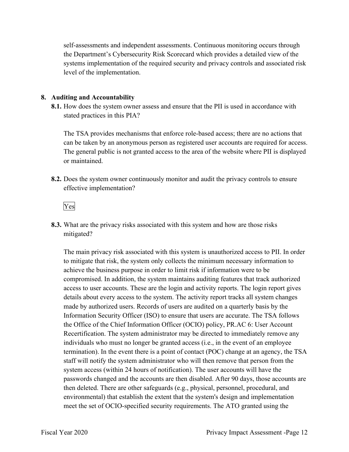self-assessments and independent assessments. Continuous monitoring occurs through the Department's Cybersecurity Risk Scorecard which provides a detailed view of the systems implementation of the required security and privacy controls and associated risk level of the implementation.

#### **8. Auditing and Accountability**

 **8.1.** How does the system owner assess and ensure that the PII is used in accordance with stated practices in this PIA?

 The TSA provides mechanisms that enforce role-based access; there are no actions that The general public is not granted access to the area of the website where PII is displayed can be taken by an anonymous person as registered user accounts are required for access. or maintained.

**8.2.** Does the system owner continuously monitor and audit the privacy controls to ensure effective implementation?



**8.3.** What are the privacy risks associated with this system and how are those risks mitigated?

 to mitigate that risk, the system only collects the minimum necessary information to achieve the business purpose in order to limit risk if information were to be access to user accounts. These are the login and activity reports. The login report gives Recertification. The system administrator may be directed to immediately remove any termination). In the event there is a point of contact (POC) change at an agency, the TSA The main privacy risk associated with this system is unauthorized access to PII. In order compromised. In addition, the system maintains auditing features that track authorized details about every access to the system. The activity report tracks all system changes made by authorized users. Records of users are audited on a quarterly basis by the Information Security Officer (ISO) to ensure that users are accurate. The TSA follows the Office of the Chief Information Officer (OCIO) policy, PR.AC 6: User Account individuals who must no longer be granted access (i.e., in the event of an employee staff will notify the system administrator who will then remove that person from the system access (within 24 hours of notification). The user accounts will have the passwords changed and the accounts are then disabled. After 90 days, those accounts are then deleted. There are other safeguards (e.g., physical, personnel, procedural, and environmental) that establish the extent that the system's design and implementation meet the set of OCIO-specified security requirements. The ATO granted using the